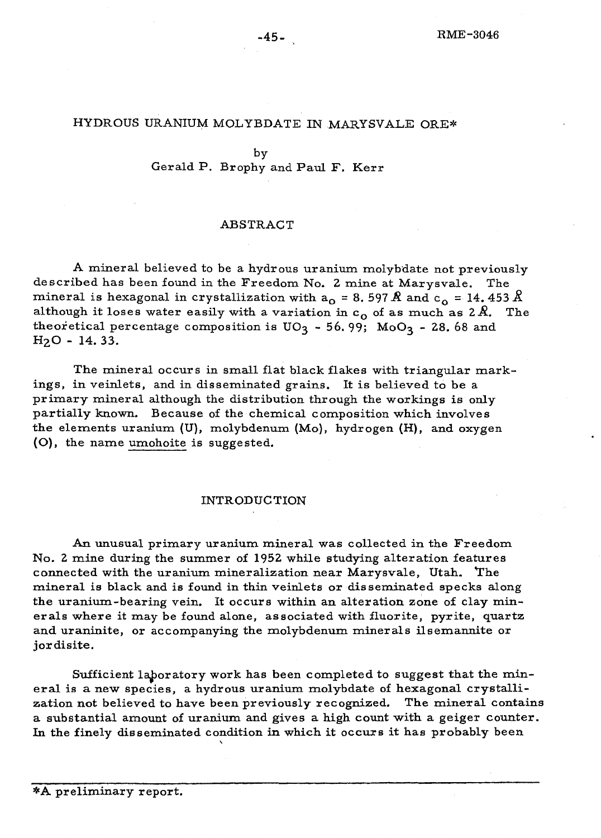### HYDROUS URANIUM MOLYBDATE IN MARYSVALE ORE\*

#### by

Gerald P. Brophy and Paul F. Kerr

### ABSTRACT

A mineral believed to be a hydrous uranium molybdate not previously described has been found in the Freedom No. 2 mine at Marysvale. The mineral is hexagonal in crystallization with  $a_0 = 8.597 \text{ Å}$  and  $c_0 = 14.453 \text{ Å}$ although it loses water easily with a variation in  $c_0$  of as much as  $2R$ . The theoretical percentage composition is  $UO_3 - 56.99$ ;  $MoO_3 - 28.68$  and H20 - 14.33.

The mineral occurs in small flat black flakes with triangular markings, in veinlets, and in disseminated grains. It is believed to be a primary mineral although the distribution through the workings is only partially known. Because of the chemical composition which involves the elements uranium (U), molybdenum (Mo), hydrogen (H), and oxygen (0), the name umohoite is sugge sted.

### INTRODUCTION

An unusual primary uranium mineral was collected in the Freedom No.2 mine during the summer of 1952 while studying alteration features connected with the uranium mineralization near Marysvale, Utah. "The mineral is black and is found in thin veinlets or disseminated specks along the uranium-bearing vein. It occurs within an alteration zone of clay minerals where it may be found alone, associated with fluorite, pyrite, quartz and uraninite, or accompanying the molybdenum minerals ilsemannite or jordisite.

Sufficient laboratory work has been completed to suggest that the mineral is a new species, a hydrous uranium molybdate of hexagonal crystallization not believed to have been previously recognized. The mineral contains a substantial amount of uranium and gives a high count with a geiger counter. In the finely disseminated condition in which it occurs it has probably been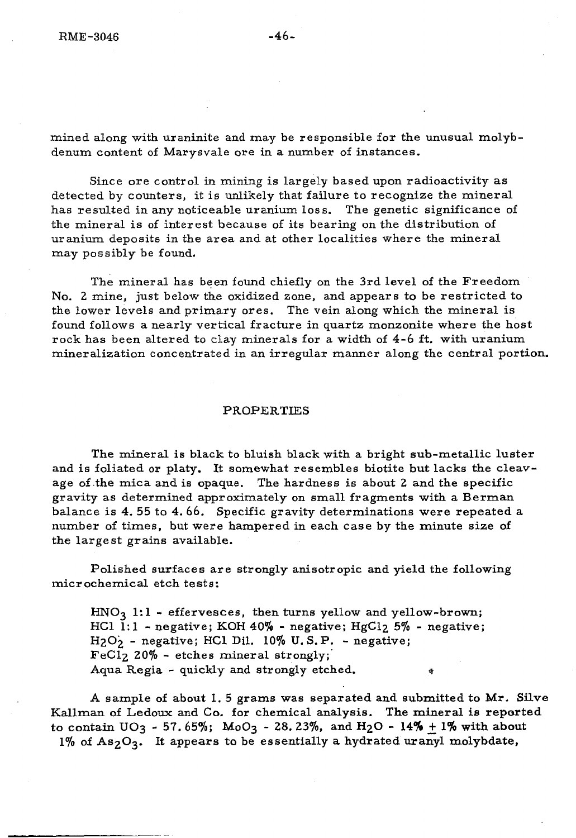mined along with uraninite and may be responsible for the unusual molybdenum content of Marysvale are in a number of instances.

Since ore control in mining is largely based upon radioactivity as detected by counters, it is unlikely that failure to recognize the mineral has resulted in any noticeable uranium loss. The genetic significance of the mineral is of interest because of its bearing on the distribution of uranium deposits in the area and at other localities where the mineral may possibly be found.

The mineral has been found chiefly on the 3rd level of the Freedom No. Z mine, just below the oxidized zone, and appears to be restricted to the lower levels and primary ores. The vein along which the mineral is found follows a nearly vertical fracture in quartz monzonite where the host rock has been altered to clay minerals for a width of 4-6 ft. with uranium mineralization concentrated in an irregular manner along the central portion.

#### PROPERTIES

The mineral is black to bluish black with a bright sub-metallic luster and is foliated or platy. It somewhat resembles biotite but lacks the cleavage of .the mica and is opaque. The hardness is about Z and the specific gravity as determined approximately on small fragments with a Berman balance is 4. 55 to 4.66. Specific gravity determinations were repeated a number of times, but were hampered in each case by the minute size of the largest grains available.

Polished surfaces are strongly anisotropic and yield the following microchemical etch tests:

 $HNO<sub>3</sub>$  1:1 - effervesces, then turns yellow and yellow-brown; HCl  $1:1$  - negative; KOH 40% - negative; HgCl<sub>2</sub> 5% - negative;  $H_2O_2$  - negative; HCl Dil. 10% U.S.P. - negative; FeClz 20% - etches mineral strongly;' Aqua Regia - quickly and strongly etched.

A sample of about 1. 5 grams was separated and submitted to Mr. SUve Kallman of Ledoux and Co. for chemical analysis. The mineral is reported to contain  $UO_3 - 57.65\%$ ;  $MoO_3 - 28.23\%$ , and  $H_2O - 14\% + 1\%$  with about  $1\%$  of As<sub>2</sub>O<sub>3</sub>. It appears to be essentially a hydrated uranyl molybdate,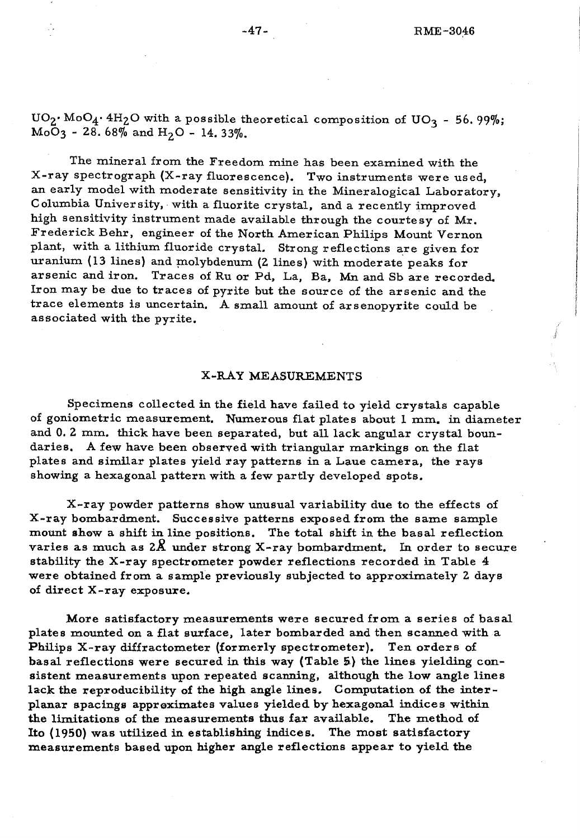The mineral from the Freedom mine has been examined with the X-ray spectrograph (X-ray fluorescence). Two instruments were used, an early model with moderate sensitivity in the Mineralogical Laboratory, Columbia University, with a fluorite crystal, and a recently improved high sensitivity instrument made available through the courtesy of Mr. Frederick Behr, engineer of the North American Philips Mount Vernon plant, with a lithium fluoride crystaL Strong reflections are given for uranium (13 lines) and molybdenum (2 lines) with moderate peaks for arsenic and iron. Traces of Ru or Pd, La, Ba, Mn and Sb are recorded. Iron may be due to traces of pyrite but the source of the arsenic and the trace elements is uncertain. A small amount of arsenopyrite could be associated with the pyrite.

### X-RAY MEASUREMENTS

Specimens collected in the field have failed to yield crystals capable of goniometric measurement. Numerous flat plates about 1 mm. in diameter and 0.2 mm. thick have been separated, but all lack angular crystal boundaries. A few have been observed with triangular markings on the flat plates and similar plates yield ray patterns in a Laue camera, the rays showing a hexagonal pattern with a few partly developed spots.

X-ray powder patterns show unusual variability due to the effects of X-ray bombardment. Successive patterns exposed from the same sample mount show a shift in line positions. The total shift in the basal reflection varies as much as  $2\hat{X}$  under strong X-ray bombardment. In order to secure stability the X-ray spectrometer powder reflections recorded in Table 4: were obtained from a sample previously subjected to approximately Z days of direct X-ray exposure.

More satisfactory measurements were secured from a series of basal plates mounted on a flat surface, later bombarded and then scanned with a Philips X-ray diffractometer (formerly spectrometer). Ten orders of basal reflections were secured in this way (Table S) the lines yielding consistent measurements upon repeated scanning, although the low angle lines lack the reproducibility of the high angle lines. Computation of the interplanar spacings appraximates values yielded by hexagonal indices within the limitations of the measurements thus far available. The method of Ito (1950) was utilized in establishing indices. The most satisfactory measurements based upon higher angle reflections appear to yield the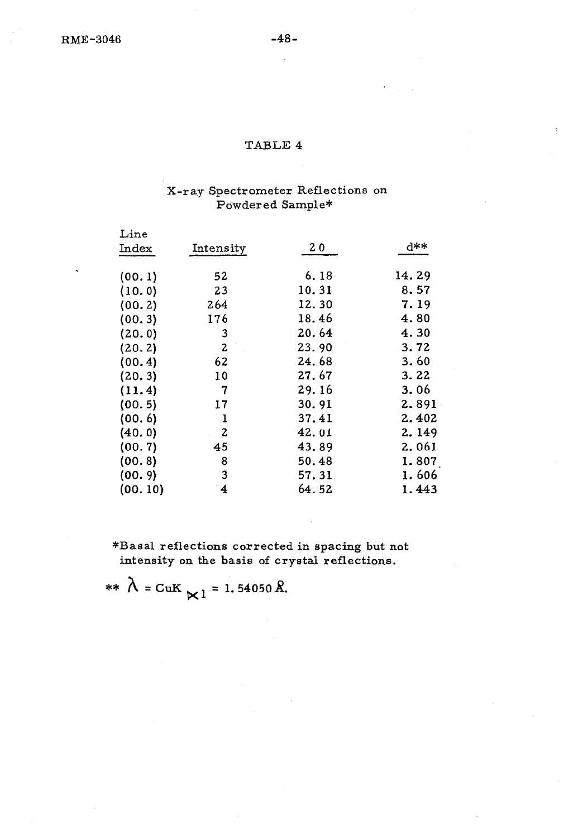# X-ray Spectrometer Reflections on Powdered Sample\*

| $\mathop{\rm Line}\nolimits$ |              |       |       |
|------------------------------|--------------|-------|-------|
| $_{\rm Index}$               | Intensity    | 20    | **ስ   |
| (00.1)                       | 52           | 6.18  | 14.29 |
| (10.0)                       | 23           | 10.31 | 8.57  |
| (00.2)                       | 264          | 12.30 | 7.19  |
| (00.3)                       | 176          | 18.46 | 4.80  |
| (20.0)                       | 3            | 20.64 | 4.30  |
| (20.2)                       | $\mathbf{z}$ | 23.90 | 3.72  |
| (00.4)                       | 62           | 24.68 | 3.60  |
| (20.3)                       | 10           | 27.67 | 3.22  |
| (11.4)                       | 7            | 29.16 | 3.06  |
| (00.5)                       | 17           | 30.91 | 2.891 |
| (00.6)                       | 1            | 37.41 | 2.402 |
| (40.0)                       | 2            | 42.01 | 2.149 |
| (00.7)                       | 45           | 43.89 | 2.061 |
| (00.8)                       | 8            | 50.48 | 1.807 |
| (00.9)                       | 3            | 57.31 | 1.606 |
| (00. 10)                     | 4            | 64.52 | 1.443 |

\*Basal reflections corrected in spacing but not intensity on the basis of crystal reflections.

\*\*  $\lambda = \text{CuK}$   $\ltimes 1 = 1.54050 \text{ Å}.$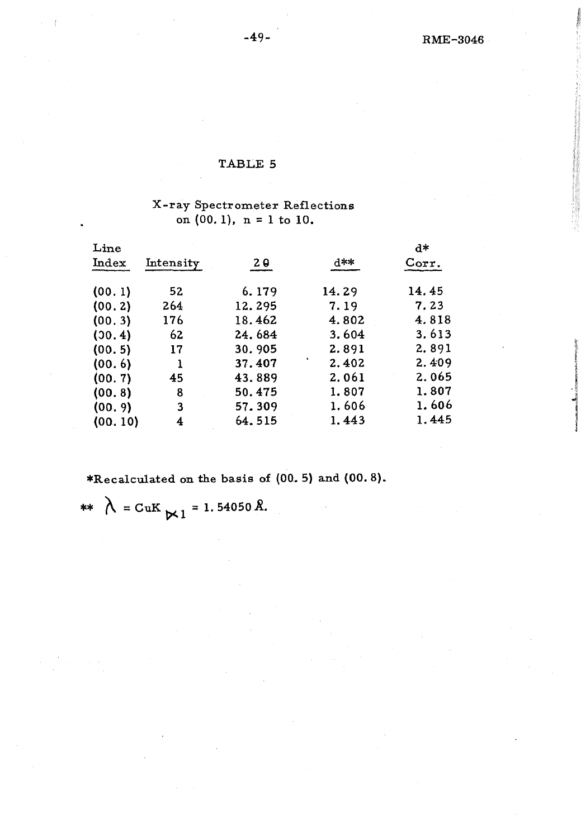# TABLE 5

# X-ray Spectrometer Reflections on  $(00.1)$ , n = 1 to  $10$ .

| Line    |           |                |       | d*    |  |
|---------|-----------|----------------|-------|-------|--|
| Index   | Intensity | 2 <sub>0</sub> | d**   | Corr. |  |
| (00.1)  | 52        | 6.179          | 14.29 | 14.45 |  |
| (00.2)  | 264       | 12.295         | 7.19  | 7.23  |  |
| (00.3)  | 176       | 18.462         | 4.802 | 4.818 |  |
| (30.4)  | 62        | 24.684         | 3.604 | 3.613 |  |
| (00.5)  | 17        | 30.905         | 2.891 | 2.891 |  |
| (00.6)  |           | 37.407         | 2.402 | 2.409 |  |
| (00.7)  | 45        | 43.889         | 2.061 | 2.065 |  |
| (00.8)  | 8         | 50.475         | 1.807 | 1.807 |  |
| (00.9)  | 3         | 57.309         | 1.606 | 1.606 |  |
| (00.10) | 4         | 64.515         | 1.443 | 1.445 |  |
|         |           |                |       |       |  |

\*Recalculated on the basis of (00. 5) and (00.8).

\*\*  $\lambda = \text{CuK} \times 1 = 1.54050 \text{ Å}.$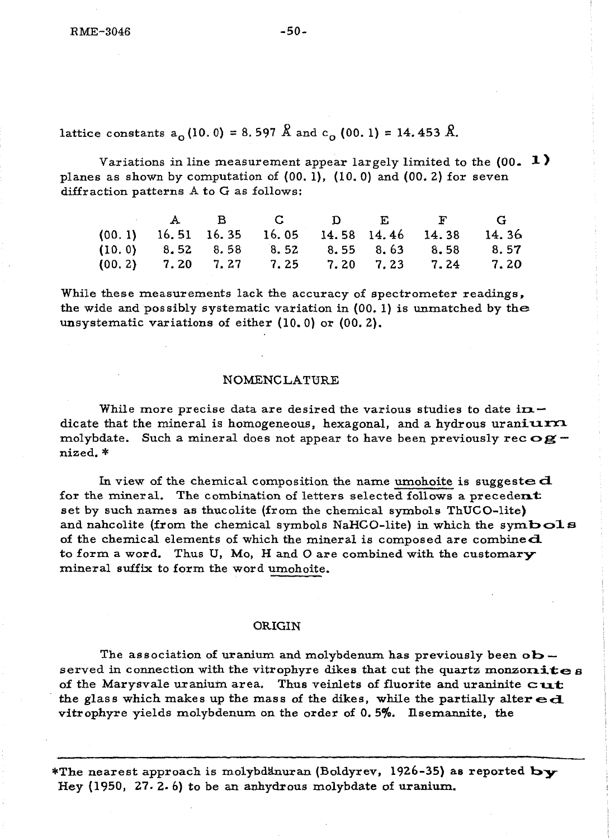lattice constants  $a_0$  (10.0) = 8.597  $\hat{R}$  and  $c_0$  (00.1) = 14.453  $\hat{R}$ .

Variations in line measurement appear largely limited to the  $(00. 1)$ planes as shown by computation of (00. 1), (10.0) and (00. 2) for seven diffraction patterns A to G as follows:

|  |  |  | A B C D E F G                                      |  |
|--|--|--|----------------------------------------------------|--|
|  |  |  | $(00.1)$ 16.51 16.35 16.05 14.58 14.46 14.38 14.36 |  |
|  |  |  | $(10.0)$ 8.52 8.58 8.52 8.55 8.63 8.58 8.57        |  |
|  |  |  | $(00.2)$ 7.20 7.27 7.25 7.20 7.23 7.24 7.20        |  |

While these measurements lack the accuracy of spectrometer readings, the wide and possibly systematic variation in (00. 1) is unmatched by the unsystematic variations of either (l0. 0) or (00.2).

### NOMENCLATURE

While more precise data are desired the various studies to date in  $$ dicate that the mineral is homogeneous, hexagonal, and a hydrous uraniurx molybdate. Such a mineral does not appear to have been previously rec  $\alpha$ gnized. \*

In view of the chemical composition the name umohoite is suggested for the mineral. The combination of letters selected follows a precedent set by such names as thucolite (from the chemical symbols ThUCO-lite) and nahcolite (from the chemical symbols NaHCO-lite) in which the symbols of the chemical elements of which the mineral is composed are combined. to form a word. Thus U, Mo, H and O are combined with the customary mineral suffix to form the word umohoite.

### ORIGIN

The association of uranium and molybdenum has previously been  $ob$ served in connection with the vitrophyre dikes that cut the quartz monzonites of the Marysvale uranium area. Thus veinlets of fluorite and uraninite  $cut$ the glass which makes up the mass of the dikes, while the partially alter  $ed$ . vitrophyre yields molybdenum on the order of  $0.5\%$ . Ilsemannite, the

\*The nearest approach is molybdanuran (Boldyrev, 1926-35) as reported **by** Hey (1950, 27.2.6) to be an anhydrous molybdate of uranium..